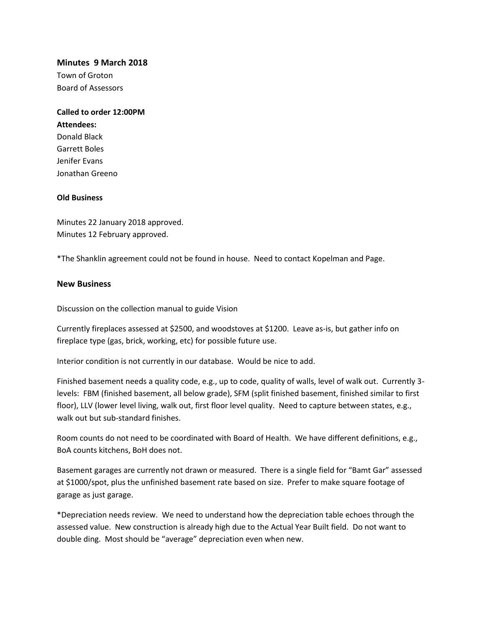#### **Minutes 9 March 2018**

Town of Groton Board of Assessors

# **Called to order 12:00PM Attendees:** Donald Black Garrett Boles

Jenifer Evans Jonathan Greeno

### **Old Business**

Minutes 22 January 2018 approved. Minutes 12 February approved.

\*The Shanklin agreement could not be found in house. Need to contact Kopelman and Page.

### **New Business**

Discussion on the collection manual to guide Vision

Currently fireplaces assessed at \$2500, and woodstoves at \$1200. Leave as-is, but gather info on fireplace type (gas, brick, working, etc) for possible future use.

Interior condition is not currently in our database. Would be nice to add.

Finished basement needs a quality code, e.g., up to code, quality of walls, level of walk out. Currently 3 levels: FBM (finished basement, all below grade), SFM (split finished basement, finished similar to first floor), LLV (lower level living, walk out, first floor level quality. Need to capture between states, e.g., walk out but sub-standard finishes.

Room counts do not need to be coordinated with Board of Health. We have different definitions, e.g., BoA counts kitchens, BoH does not.

Basement garages are currently not drawn or measured. There is a single field for "Bamt Gar" assessed at \$1000/spot, plus the unfinished basement rate based on size. Prefer to make square footage of garage as just garage.

\*Depreciation needs review. We need to understand how the depreciation table echoes through the assessed value. New construction is already high due to the Actual Year Built field. Do not want to double ding. Most should be "average" depreciation even when new.